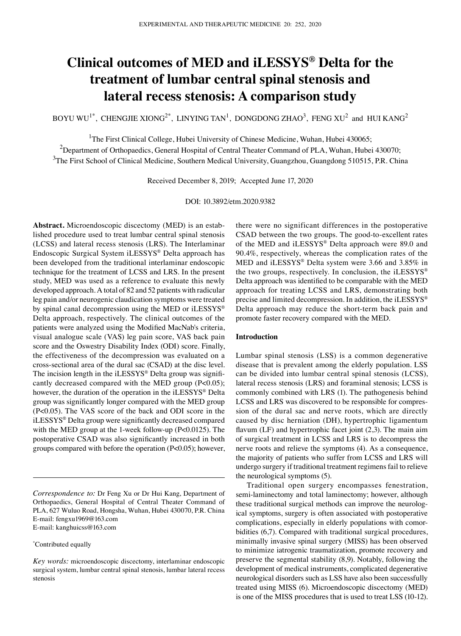# **Clinical outcomes of MED and iLESSYS® Delta for the treatment of lumbar central spinal stenosis and lateral recess stenosis: A comparison study**

BOYU WU<sup>1\*</sup>, CHENGJIE XIONG<sup>2\*</sup>, LINYING TAN<sup>1</sup>, DONGDONG ZHAO<sup>3</sup>, FENG XU<sup>2</sup> and HUI KANG<sup>2</sup>

<sup>1</sup>The First Clinical College, Hubei University of Chinese Medicine, Wuhan, Hubei 430065;

 $^{2}$ Department of Orthopaedics, General Hospital of Central Theater Command of PLA, Wuhan, Hubei 430070;

<sup>3</sup>The First School of Clinical Medicine, Southern Medical University, Guangzhou, Guangdong 510515, P.R. China

Received December 8, 2019; Accepted June 17, 2020

DOI: 10.3892/etm.2020.9382

Abstract. Microendoscopic discectomy (MED) is an established procedure used to treat lumbar central spinal stenosis (LCSS) and lateral recess stenosis (LRS). The Interlaminar Endoscopic Surgical System iLESSYS® Delta approach has been developed from the traditional interlaminar endoscopic technique for the treatment of LCSS and LRS. In the present study, MED was used as a reference to evaluate this newly developed approach. A total of 82 and 52 patients with radicular leg pain and/or neurogenic claudication symptoms were treated by spinal canal decompression using the MED or iLESSYS® Delta approach, respectively. The clinical outcomes of the patients were analyzed using the Modified MacNab's criteria, visual analogue scale (VAS) leg pain score, VAS back pain score and the Oswestry Disability Index (ODI) score. Finally, the effectiveness of the decompression was evaluated on a cross‑sectional area of the dural sac (CSAD) at the disc level. The incision length in the iLESSYS® Delta group was significantly decreased compared with the MED group (P<0.05); however, the duration of the operation in the iLESSYS® Delta group was significantly longer compared with the MED group (P<0.05). The VAS score of the back and ODI score in the iLESSYS® Delta group were significantly decreased compared with the MED group at the 1-week follow-up (P<0.0125). The postoperative CSAD was also significantly increased in both groups compared with before the operation (P<0.05); however,

*Correspondence to:* Dr Feng Xu or Dr Hui Kang, Department of Orthopaedics, General Hospital of Central Theater Command of PLA, 627 Wuluo Road, Hongsha, Wuhan, Hubei 430070, P.R. China E‑mail: fengxu1969@163.com E‑mail: kanghuicss@163.com

\* Contributed equally

there were no significant differences in the postoperative CSAD between the two groups. The good-to-excellent rates of the MED and iLESSYS® Delta approach were 89.0 and 90.4%, respectively, whereas the complication rates of the MED and iLESSYS® Delta system were 3.66 and 3.85% in the two groups, respectively. In conclusion, the iLESSYS® Delta approach was identified to be comparable with the MED approach for treating LCSS and LRS, demonstrating both precise and limited decompression. In addition, the iLESSYS® Delta approach may reduce the short-term back pain and promote faster recovery compared with the MED.

# **Introduction**

Lumbar spinal stenosis (LSS) is a common degenerative disease that is prevalent among the elderly population. LSS can be divided into lumbar central spinal stenosis (LCSS), lateral recess stenosis (LRS) and foraminal stenosis; LCSS is commonly combined with LRS (1). The pathogenesis behind LCSS and LRS was discovered to be responsible for compression of the dural sac and nerve roots, which are directly caused by disc herniation (DH), hypertrophic ligamentum flavum (LF) and hypertrophic facet joint (2,3). The main aim of surgical treatment in LCSS and LRS is to decompress the nerve roots and relieve the symptoms (4). As a consequence, the majority of patients who suffer from LCSS and LRS will undergo surgery if traditional treatment regimens fail to relieve the neurological symptoms (5).

Traditional open surgery encompasses fenestration, semi-laminectomy and total laminectomy; however, although these traditional surgical methods can improve the neurological symptoms, surgery is often associated with postoperative complications, especially in elderly populations with comorbidities (6,7). Compared with traditional surgical procedures, minimally invasive spinal surgery (MISS) has been observed to minimize iatrogenic traumatization, promote recovery and preserve the segmental stability (8,9). Notably, following the development of medical instruments, complicated degenerative neurological disorders such as LSS have also been successfully treated using MISS (6). Microendoscopic discectomy (MED) is one of the MISS procedures that is used to treat LSS (10‑12).

*Key words:* microendoscopic discectomy, interlaminar endoscopic surgical system, lumbar central spinal stenosis, lumbar lateral recess stenosis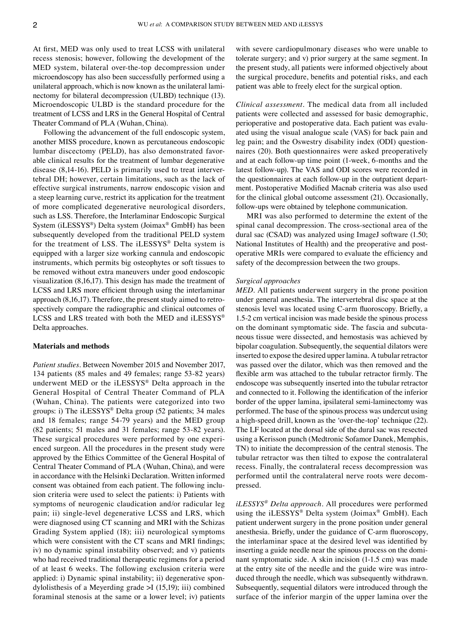At first, MED was only used to treat LCSS with unilateral recess stenosis; however, following the development of the MED system, bilateral over-the-top decompression under microendoscopy has also been successfully performed using a unilateral approach, which is now known as the unilateral laminectomy for bilateral decompression (ULBD) technique (13). Microendoscopic ULBD is the standard procedure for the treatment of LCSS and LRS in the General Hospital of Central Theater Command of PLA (Wuhan, China).

Following the advancement of the full endoscopic system, another MISS procedure, known as percutaneous endoscopic lumbar discectomy (PELD), has also demonstrated favorable clinical results for the treatment of lumbar degenerative disease  $(8,14-16)$ . PELD is primarily used to treat intervertebral DH; however, certain limitations, such as the lack of effective surgical instruments, narrow endoscopic vision and a steep learning curve, restrict its application for the treatment of more complicated degenerative neurological disorders, such as LSS. Therefore, the Interlaminar Endoscopic Surgical System (iLESSYS®) Delta system (Joimax® GmbH) has been subsequently developed from the traditional PELD system for the treatment of LSS. The iLESSYS® Delta system is equipped with a larger size working cannula and endoscopic instruments, which permits big osteophytes or soft tissues to be removed without extra maneuvers under good endoscopic visualization (8,16,17). This design has made the treatment of LCSS and LRS more efficient through using the interlaminar approach  $(8,16,17)$ . Therefore, the present study aimed to retrospectively compare the radiographic and clinical outcomes of LCSS and LRS treated with both the MED and  $i$ LESSYS® Delta approaches.

#### **Materials and methods**

*Patient studies.* Between November 2015 and November 2017, 134 patients (85 males and 49 females; range 53‑82 years) underwent MED or the iLESSYS® Delta approach in the General Hospital of Central Theater Command of PLA (Wuhan, China). The patients were categorized into two groups: i) The iLESSYS® Delta group (52 patients; 34 males and 18 females; range 54‑79 years) and the MED group (82 patients; 51 males and 31 females; range 53‑82 years). These surgical procedures were performed by one experienced surgeon. All the procedures in the present study were approved by the Ethics Committee of the General Hospital of Central Theater Command of PLA (Wuhan, China), and were in accordance with the Helsinki Declaration. Written informed consent was obtained from each patient. The following inclusion criteria were used to select the patients: i) Patients with symptoms of neurogenic claudication and/or radicular leg pain; ii) single-level degenerative LCSS and LRS, which were diagnosed using CT scanning and MRI with the Schizas Grading System applied (18); iii) neurological symptoms which were consistent with the CT scans and MRI findings; iv) no dynamic spinal instability observed; and v) patients who had received traditional therapeutic regimens for a period of at least 6 weeks. The following exclusion criteria were applied: i) Dynamic spinal instability; ii) degenerative spondylolisthesis of a Meyerding grade >I (15,19); iii) combined foraminal stenosis at the same or a lower level; iv) patients with severe cardiopulmonary diseases who were unable to tolerate surgery; and v) prior surgery at the same segment. In the present study, all patients were informed objectively about the surgical procedure, benefits and potential risks, and each patient was able to freely elect for the surgical option.

*Clinical assessment.* The medical data from all included patients were collected and assessed for basic demographic, perioperative and postoperative data. Each patient was evaluated using the visual analogue scale (VAS) for back pain and leg pain; and the Oswestry disability index (ODI) questionnaires (20). Both questionnaires were asked preoperatively and at each follow‑up time point (1‑week, 6‑months and the latest follow‑up). The VAS and ODI scores were recorded in the questionnaires at each follow-up in the outpatient department. Postoperative Modified Macnab criteria was also used for the clinical global outcome assessment (21). Occasionally, follow‑ups were obtained by telephone communication.

MRI was also performed to determine the extent of the spinal canal decompression. The cross‑sectional area of the dural sac (CSAD) was analyzed using ImageJ software (1.50; National Institutes of Health) and the preoperative and postoperative MRIs were compared to evaluate the efficiency and safety of the decompression between the two groups.

# *Surgical approaches*

*MED.* All patients underwent surgery in the prone position under general anesthesia. The intervertebral disc space at the stenosis level was located using C‑arm fluoroscopy. Briefly, a 1.5‑2 cm vertical incision was made beside the spinous process on the dominant symptomatic side. The fascia and subcutaneous tissue were dissected, and hemostasis was achieved by bipolar coagulation. Subsequently, the sequential dilators were inserted to expose the desired upper lamina. A tubular retractor was passed over the dilator, which was then removed and the flexible arm was attached to the tubular retractor firmly. The endoscope was subsequently inserted into the tubular retractor and connected to it. Following the identification of the inferior border of the upper lamina, ipsilateral semi‑laminectomy was performed. The base of the spinous process was undercut using a high-speed drill, known as the 'over-the-top' technique (22). The LF located at the dorsal side of the dural sac was resected using a Kerisson punch (Medtronic Sofamor Danek, Memphis, TN) to initiate the decompression of the central stenosis. The tubular retractor was then tilted to expose the contralateral recess. Finally, the contralateral recess decompression was performed until the contralateral nerve roots were decompressed.

*iLESSYS® Delta approach.* All procedures were performed using the iLESSYS® Delta system (Joimax® GmbH). Each patient underwent surgery in the prone position under general anesthesia. Briefly, under the guidance of C‑arm fluoroscopy, the interlaminar space at the desired level was identified by inserting a guide needle near the spinous process on the dominant symptomatic side. A skin incision (1‑1.5 cm) was made at the entry site of the needle and the guide wire was introduced through the needle, which was subsequently withdrawn. Subsequently, sequential dilators were introduced through the surface of the inferior margin of the upper lamina over the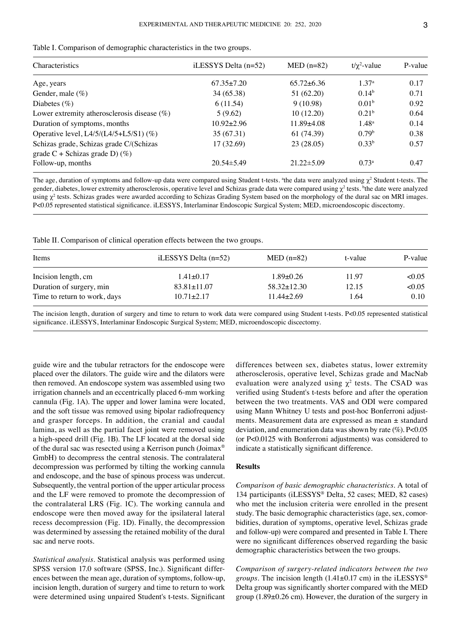| Characteristics                                | iLESSYS Delta $(n=52)$ | $MED (n=82)$     | $t/\chi^2$ -value | P-value |  |
|------------------------------------------------|------------------------|------------------|-------------------|---------|--|
| Age, years                                     | $67.35 \pm 7.20$       | $65.72 \pm 6.36$ | 1.37 <sup>a</sup> | 0.17    |  |
| Gender, male $(\%)$                            | 34 (65.38)             | 51 (62.20)       | 0.14 <sup>b</sup> | 0.71    |  |
| Diabetes $(\%)$                                | 6(11.54)               | 9(10.98)         | 0.01 <sup>b</sup> | 0.92    |  |
| Lower extremity atherosclerosis disease $(\%)$ | 5(9.62)                | 10(12.20)        | 0.21 <sup>b</sup> | 0.64    |  |
| Duration of symptoms, months                   | $10.92 \pm 2.96$       | $11.89{\pm}4.08$ | $1.48^{\rm a}$    | 0.14    |  |
| Operative level, L4/5/(L4/5+L5/S1) (%)         | 35 (67.31)             | 61 (74.39)       | 0.79 <sup>b</sup> | 0.38    |  |
| Schizas grade, Schizas grade C/(Schizas        | 17 (32.69)             | 23(28.05)        | $0.33^{b}$        | 0.57    |  |
| grade $C$ + Schizas grade D) $(\%)$            |                        |                  |                   |         |  |
| Follow-up, months                              | $20.54 \pm 5.49$       | $21.22 \pm 5.09$ | $0.73^a$          | 0.47    |  |

Table I. Comparison of demographic characteristics in the two groups.

The age, duration of symptoms and follow-up data were compared using Student t-tests. <sup>a</sup>the data were analyzed using  $\chi^2$  Student t-tests. The gender, diabetes, lower extremity atherosclerosis, operative level and Schizas grade data were compared using  $\chi^2$  tests. <sup>b</sup>the date were analyzed using  $\chi^2$  tests. Schizas grades were awarded according to Schizas Grading System based on the morphology of the dural sac on MRI images. P<0.05 represented statistical significance. iLESSYS, Interlaminar Endoscopic Surgical System; MED, microendoscopic discectomy.

Table II. Comparison of clinical operation effects between the two groups.

| Items                        | iLESSYS Delta $(n=52)$ | $MED (n=82)$      | t-value | P-value |
|------------------------------|------------------------|-------------------|---------|---------|
| Incision length, cm          | $1.41 \pm 0.17$        | $1.89 \pm 0.26$   | 11.97   | < 0.05  |
| Duration of surgery, min     | $83.81 \pm 11.07$      | $58.32 \pm 12.30$ | 12.15   | <0.05   |
| Time to return to work, days | $10.71 \pm 2.17$       | $11.44 \pm 2.69$  | 1.64    | 0.10    |

The incision length, duration of surgery and time to return to work data were compared using Student t-tests. P<0.05 represented statistical significance. iLESSYS, Interlaminar Endoscopic Surgical System; MED, microendoscopic discectomy.

guide wire and the tubular retractors for the endoscope were placed over the dilators. The guide wire and the dilators were then removed. An endoscope system was assembled using two irrigation channels and an eccentrically placed 6‑mm working cannula (Fig. 1A). The upper and lower lamina were located, and the soft tissue was removed using bipolar radiofrequency and grasper forceps. In addition, the cranial and caudal lamina, as well as the partial facet joint were removed using a high‑speed drill (Fig. 1B). The LF located at the dorsal side of the dural sac was resected using a Kerrison punch (Joimax® GmbH) to decompress the central stenosis. The contralateral decompression was performed by tilting the working cannula and endoscope, and the base of spinous process was undercut. Subsequently, the ventral portion of the upper articular process and the LF were removed to promote the decompression of the contralateral LRS (Fig. 1C). The working cannula and endoscope were then moved away for the ipsilateral lateral recess decompression (Fig. 1D). Finally, the decompression was determined by assessing the retained mobility of the dural sac and nerve roots.

*Statistical analysis.* Statistical analysis was performed using SPSS version 17.0 software (SPSS, Inc.). Significant differences between the mean age, duration of symptoms, follow‑up, incision length, duration of surgery and time to return to work were determined using unpaired Student's t-tests. Significant differences between sex, diabetes status, lower extremity atherosclerosis, operative level, Schizas grade and MacNab evaluation were analyzed using  $\chi^2$  tests. The CSAD was verified using Student's t‑tests before and after the operation between the two treatments. VAS and ODI were compared using Mann Whitney U tests and post-hoc Bonferroni adjustments. Measurement data are expressed as mean ± standard deviation, and enumeration data was shown by rate (%). P<0.05 (or P<0.0125 with Bonferroni adjustments) was considered to indicate a statistically significant difference.

# **Results**

*Comparison of basic demographic characteristics.* A total of 134 participants (iLESSYS® Delta, 52 cases; MED, 82 cases) who met the inclusion criteria were enrolled in the present study. The basic demographic characteristics (age, sex, comorbidities, duration of symptoms, operative level, Schizas grade and follow‑up) were compared and presented in Table I. There were no significant differences observed regarding the basic demographic characteristics between the two groups.

*Comparison of surgery‑related indicators between the two groups.* The incision length (1.41±0.17 cm) in the iLESSYS® Delta group was significantly shorter compared with the MED group (1.89±0.26 cm). However, the duration of the surgery in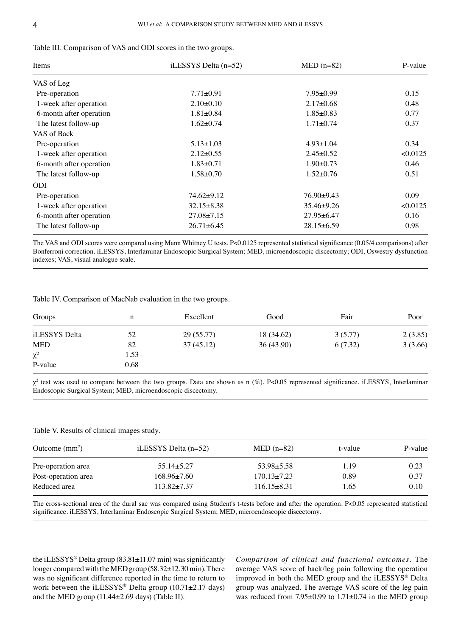| Items                   | iLESSYS Delta $(n=52)$ | $MED (n=82)$     | P-value  |
|-------------------------|------------------------|------------------|----------|
| VAS of Leg              |                        |                  |          |
| Pre-operation           | $7.71 \pm 0.91$        | $7.95 \pm 0.99$  | 0.15     |
| 1-week after operation  | $2.10\pm0.10$          | $2.17 \pm 0.68$  | 0.48     |
| 6-month after operation | $1.81 \pm 0.84$        | $1.85 \pm 0.83$  | 0.77     |
| The latest follow-up    | $1.62 \pm 0.74$        | $1.71 \pm 0.74$  | 0.37     |
| VAS of Back             |                        |                  |          |
| Pre-operation           | $5.13 \pm 1.03$        | $4.93 \pm 1.04$  | 0.34     |
| 1-week after operation  | $2.12 \pm 0.55$        | $2.45 \pm 0.52$  | < 0.0125 |
| 6-month after operation | $1.83 \pm 0.71$        | $1.90 \pm 0.73$  | 0.46     |
| The latest follow-up    | $1.58 + 0.70$          | $1.52 \pm 0.76$  | 0.51     |
| ODI                     |                        |                  |          |
| Pre-operation           | $74.62 \pm 9.12$       | $76.90+9.43$     | 0.09     |
| 1-week after operation  | $32.15 \pm 8.38$       | $35.46 \pm 9.26$ | < 0.0125 |
| 6-month after operation | $27.08 \pm 7.15$       | $27.95 \pm 6.47$ | 0.16     |
| The latest follow-up    | $26.71 \pm 6.45$       | $28.15 \pm 6.59$ | 0.98     |

|  |  |  |  |  |  | Table III. Comparison of VAS and ODI scores in the two groups. |
|--|--|--|--|--|--|----------------------------------------------------------------|
|--|--|--|--|--|--|----------------------------------------------------------------|

The VAS and ODI scores were compared using Mann Whitney U tests. P<0.0125 represented statistical significance (0.05/4 comparisons) after Bonferroni correction. iLESSYS, Interlaminar Endoscopic Surgical System; MED, microendoscopic discectomy; ODI, Oswestry dysfunction indexes; VAS, visual analogue scale.

Table IV. Comparison of MacNab evaluation in the two groups.

| Groups        | n    | Excellent | Good       | Fair    | Poor    |
|---------------|------|-----------|------------|---------|---------|
| iLESSYS Delta | 52   | 29(55.77) | 18 (34.62) | 3(5.77) | 2(3.85) |
| <b>MED</b>    | 82   | 37(45.12) | 36(43.90)  | 6(7.32) | 3(3.66) |
| $\chi^2$      | 1.53 |           |            |         |         |
| P-value       | 0.68 |           |            |         |         |

 $\chi^2$  test was used to compare between the two groups. Data are shown as n (%). P<0.05 represented significance. iLESSYS, Interlaminar Endoscopic Surgical System; MED, microendoscopic discectomy.

Table V. Results of clinical images study.

| Outcome $(mm^2)$    | iLESSYS Delta $(n=52)$ | $MED (n=82)$      | t-value | P-value |
|---------------------|------------------------|-------------------|---------|---------|
| Pre-operation area  | $55.14 \pm 5.27$       | $53.98 \pm 5.58$  | 1.19    | 0.23    |
| Post-operation area | $168.96\pm7.60$        | $170.13 \pm 7.23$ | 0.89    | 0.37    |
| Reduced area        | $113.82 + 7.37$        | $116.15\pm8.31$   | 1.65    | 0.10    |

The cross-sectional area of the dural sac was compared using Student's t-tests before and after the operation. P<0.05 represented statistical significance. iLESSYS, Interlaminar Endoscopic Surgical System; MED, microendoscopic discectomy.

the iLESSYS® Delta group (83.81±11.07 min) was significantly longer compared with the MED group (58.32±12.30min). There was no significant difference reported in the time to return to work between the iLESSYS® Delta group (10.71±2.17 days) and the MED group (11.44±2.69 days) (Table II).

*Comparison of clinical and functional outcomes.* The average VAS score of back/leg pain following the operation improved in both the MED group and the iLESSYS® Delta group was analyzed. The average VAS score of the leg pain was reduced from 7.95±0.99 to 1.71±0.74 in the MED group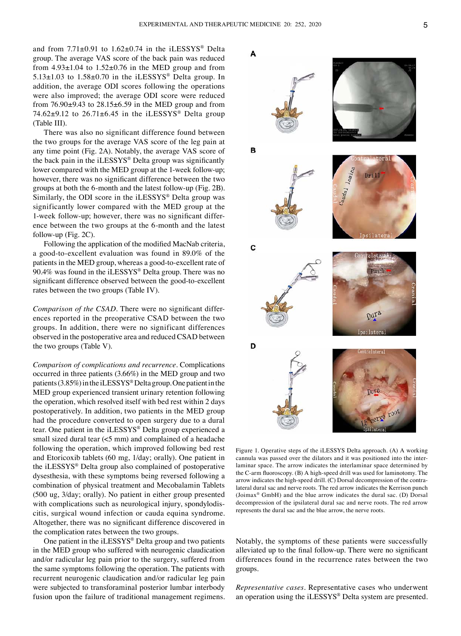and from  $7.71\pm0.91$  to  $1.62\pm0.74$  in the iLESSYS® Delta group. The average VAS score of the back pain was reduced from  $4.93\pm1.04$  to  $1.52\pm0.76$  in the MED group and from  $5.13\pm1.03$  to  $1.58\pm0.70$  in the iLESSYS<sup>®</sup> Delta group. In addition, the average ODI scores following the operations were also improved; the average ODI score were reduced from  $76.90\pm9.43$  to  $28.15\pm6.59$  in the MED group and from 74.62 $\pm$ 9.12 to 26.71 $\pm$ 6.45 in the iLESSYS<sup>®</sup> Delta group (Table III).

There was also no significant difference found between the two groups for the average VAS score of the leg pain at any time point (Fig. 2A). Notably, the average VAS score of the back pain in the iLESSYS® Delta group was significantly lower compared with the MED group at the 1-week follow-up; however, there was no significant difference between the two groups at both the 6‑month and the latest follow‑up (Fig. 2B). Similarly, the ODI score in the iLESSYS® Delta group was significantly lower compared with the MED group at the 1-week follow-up; however, there was no significant difference between the two groups at the 6‑month and the latest follow-up (Fig.  $2C$ ).

Following the application of the modified MacNab criteria, a good‑to‑excellent evaluation was found in 89.0% of the patients in the MED group, whereas a good-to-excellent rate of 90.4% was found in the iLESSYS® Delta group. There was no significant difference observed between the good-to-excellent rates between the two groups (Table IV).

*Comparison of the CSAD*. There were no significant differences reported in the preoperative CSAD between the two groups. In addition, there were no significant differences observed in the postoperative area and reduced CSAD between the two groups (Table V).

*Comparison of complications and recurrence.* Complications occurred in three patients (3.66%) in the MED group and two patients (3.85%) in the iLESSYS® Delta group. One patient in the MED group experienced transient urinary retention following the operation, which resolved itself with bed rest within 2 days postoperatively. In addition, two patients in the MED group had the procedure converted to open surgery due to a dural tear. One patient in the iLESSYS® Delta group experienced a small sized dural tear (<5 mm) and complained of a headache following the operation, which improved following bed rest and Etoricoxib tablets (60 mg, 1/day; orally). One patient in the iLESSYS® Delta group also complained of postoperative dysesthesia, with these symptoms being reversed following a combination of physical treatment and Mecobalamin Tablets (500 ug, 3/day; orally). No patient in either group presented with complications such as neurological injury, spondylodiscitis, surgical wound infection or cauda equina syndrome. Altogether, there was no significant difference discovered in the complication rates between the two groups.

One patient in the iLESSYS® Delta group and two patients in the MED group who suffered with neurogenic claudication and/or radicular leg pain prior to the surgery, suffered from the same symptoms following the operation. The patients with recurrent neurogenic claudication and/or radicular leg pain were subjected to transforaminal posterior lumbar interbody fusion upon the failure of traditional management regimens.



Figure 1. Operative steps of the iLESSYS Delta approach. (A) A working cannula was passed over the dilators and it was positioned into the interlaminar space. The arrow indicates the interlaminar space determined by the C‑arm fluoroscopy. (B) A high‑speed drill was used for laminotomy. The arrow indicates the high-speed drill. (C) Dorsal decompression of the contralateral dural sac and nerve roots. The red arrow indicates the Kerrison punch (Joimax® GmbH) and the blue arrow indicates the dural sac. (D) Dorsal decompression of the ipsilateral dural sac and nerve roots. The red arrow represents the dural sac and the blue arrow, the nerve roots.

Notably, the symptoms of these patients were successfully alleviated up to the final follow‑up. There were no significant differences found in the recurrence rates between the two groups.

*Representative cases.* Representative cases who underwent an operation using the iLESSYS® Delta system are presented.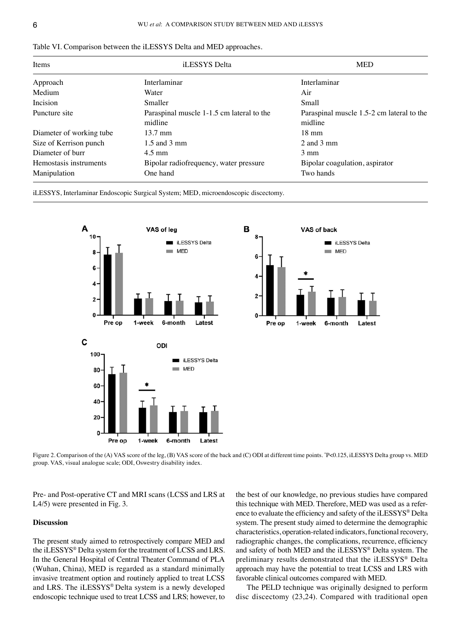| <b>Items</b>             | iLESSYS Delta                             | <b>MED</b>                                |  |
|--------------------------|-------------------------------------------|-------------------------------------------|--|
| Approach                 | Interlaminar                              | Interlaminar                              |  |
| Medium                   | Water                                     | Air                                       |  |
| Incision                 | Smaller                                   | Small                                     |  |
| Puncture site            | Paraspinal muscle 1-1.5 cm lateral to the | Paraspinal muscle 1.5-2 cm lateral to the |  |
|                          | midline                                   | midline                                   |  |
| Diameter of working tube | $13.7 \text{ mm}$                         | $18 \text{ mm}$                           |  |
| Size of Kerrison punch   | $1.5$ and $3 \text{ mm}$                  | $2$ and $3$ mm                            |  |
| Diameter of burr         | $4.5 \text{ mm}$                          | $3 \text{ mm}$                            |  |
| Hemostasis instruments   | Bipolar radiofrequency, water pressure    | Bipolar coagulation, aspirator            |  |
| Manipulation             | One hand                                  | Two hands                                 |  |

|  |  |  |  |  |  | Table VI. Comparison between the iLESSYS Delta and MED approaches. |  |
|--|--|--|--|--|--|--------------------------------------------------------------------|--|
|--|--|--|--|--|--|--------------------------------------------------------------------|--|

iLESSYS, Interlaminar Endoscopic Surgical System; MED, microendoscopic discectomy.



Figure 2. Comparison of the (A) VAS score of the leg, (B) VAS score of the back and (C) ODI at different time points. \* P<0.125, iLESSYS Delta group vs. MED group. VAS, visual analogue scale; ODI, Oswestry disability index.

Pre‑ and Post‑operative CT and MRI scans (LCSS and LRS at L4/5) were presented in Fig. 3.

# **Discussion**

The present study aimed to retrospectively compare MED and the iLESSYS® Delta system for the treatment of LCSS and LRS. In the General Hospital of Central Theater Command of PLA (Wuhan, China), MED is regarded as a standard minimally invasive treatment option and routinely applied to treat LCSS and LRS. The iLESSYS® Delta system is a newly developed endoscopic technique used to treat LCSS and LRS; however, to the best of our knowledge, no previous studies have compared this technique with MED. Therefore, MED was used as a reference to evaluate the efficiency and safety of the iLESSYS® Delta system. The present study aimed to determine the demographic characteristics, operation‑related indicators, functional recovery, radiographic changes, the complications, recurrence, efficiency and safety of both MED and the iLESSYS® Delta system. The preliminary results demonstrated that the iLESSYS® Delta approach may have the potential to treat LCSS and LRS with favorable clinical outcomes compared with MED.

The PELD technique was originally designed to perform disc discectomy (23,24). Compared with traditional open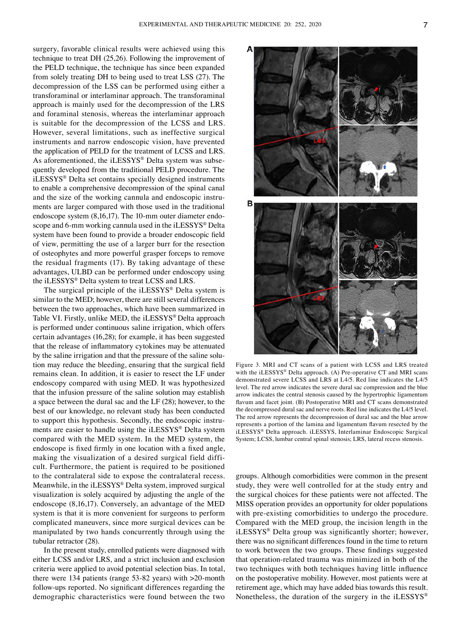surgery, favorable clinical results were achieved using this technique to treat DH (25,26). Following the improvement of the PELD technique, the technique has since been expanded from solely treating DH to being used to treat LSS (27). The decompression of the LSS can be performed using either a transforaminal or interlaminar approach. The transforaminal approach is mainly used for the decompression of the LRS and foraminal stenosis, whereas the interlaminar approach is suitable for the decompression of the LCSS and LRS. However, several limitations, such as ineffective surgical instruments and narrow endoscopic vision, have prevented the application of PELD for the treatment of LCSS and LRS. As aforementioned, the iLESSYS® Delta system was subsequently developed from the traditional PELD procedure. The iLESSYS® Delta set contains specially designed instruments to enable a comprehensive decompression of the spinal canal and the size of the working cannula and endoscopic instruments are larger compared with those used in the traditional endoscope system (8,16,17). The 10-mm outer diameter endoscope and 6-mm working cannula used in the iLESSYS® Delta system have been found to provide a broader endoscopic field of view, permitting the use of a larger burr for the resection of osteophytes and more powerful grasper forceps to remove the residual fragments (17). By taking advantage of these advantages, ULBD can be performed under endoscopy using the iLESSYS® Delta system to treat LCSS and LRS.

The surgical principle of the iLESSYS® Delta system is similar to the MED; however, there are still several differences between the two approaches, which have been summarized in Table VI. Firstly, unlike MED, the iLESSYS® Delta approach is performed under continuous saline irrigation, which offers certain advantages (16,28); for example, it has been suggested that the release of inflammatory cytokines may be attenuated by the saline irrigation and that the pressure of the saline solution may reduce the bleeding, ensuring that the surgical field remains clean. In addition, it is easier to resect the LF under endoscopy compared with using MED. It was hypothesized that the infusion pressure of the saline solution may establish a space between the dural sac and the LF (28); however, to the best of our knowledge, no relevant study has been conducted to support this hypothesis. Secondly, the endoscopic instruments are easier to handle using the iLESSYS® Delta system compared with the MED system. In the MED system, the endoscope is fixed firmly in one location with a fixed angle, making the visualization of a desired surgical field difficult. Furthermore, the patient is required to be positioned to the contralateral side to expose the contralateral recess. Meanwhile, in the iLESSYS® Delta system, improved surgical visualization is solely acquired by adjusting the angle of the endoscope (8,16,17). Conversely, an advantage of the MED system is that it is more convenient for surgeons to perform complicated maneuvers, since more surgical devices can be manipulated by two hands concurrently through using the tubular retractor (28).

In the present study, enrolled patients were diagnosed with either LCSS and/or LRS, and a strict inclusion and exclusion criteria were applied to avoid potential selection bias. In total, there were 134 patients (range 53-82 years) with >20-month follow‑ups reported. No significant differences regarding the demographic characteristics were found between the two



Figure 3. MRI and CT scans of a patient with LCSS and LRS treated with the iLESSYS® Delta approach. (A) Pre-operative CT and MRI scans demonstrated severe LCSS and LRS at L4/5. Red line indicates the L4/5 level. The red arrow indicates the severe dural sac compression and the blue arrow indicates the central stenosis caused by the hypertrophic ligamentum flavum and facet joint. (B) Postoperative MRI and CT scans demonstrated the decompressed dural sac and nerve roots. Red line indicates the L4/5 level. The red arrow represents the decompression of dural sac and the blue arrow represents a portion of the lamina and ligamentum flavum resected by the iLESSYS® Delta approach. iLESSYS, Interlaminar Endoscopic Surgical System; LCSS, lumbar central spinal stenosis; LRS, lateral recess stenosis.

groups. Although comorbidities were common in the present study, they were well controlled for at the study entry and the surgical choices for these patients were not affected. The MISS operation provides an opportunity for older populations with pre‑existing comorbidities to undergo the procedure. Compared with the MED group, the incision length in the iLESSYS® Delta group was significantly shorter; however, there was no significant differences found in the time to return to work between the two groups. These findings suggested that operation‑related trauma was minimized in both of the two techniques with both techniques having little influence on the postoperative mobility. However, most patients were at retirement age, which may have added bias towards this result. Nonetheless, the duration of the surgery in the iLESSYS®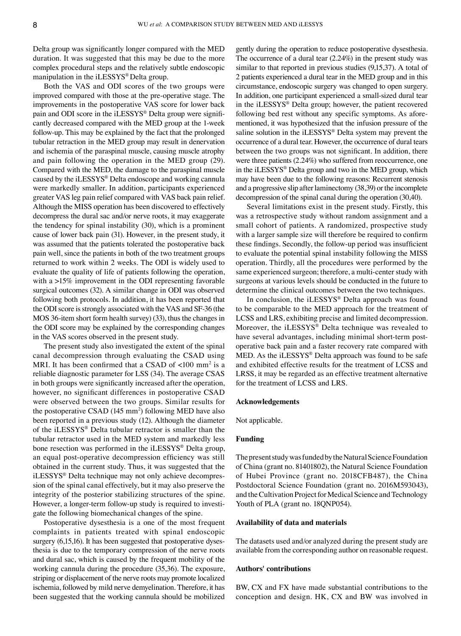Delta group was significantly longer compared with the MED duration. It was suggested that this may be due to the more complex procedural steps and the relatively subtle endoscopic manipulation in the iLESSYS® Delta group.

Both the VAS and ODI scores of the two groups were improved compared with those at the pre-operative stage. The improvements in the postoperative VAS score for lower back pain and ODI score in the iLESSYS® Delta group were significantly decreased compared with the MED group at the 1-week follow‑up. This may be explained by the fact that the prolonged tubular retraction in the MED group may result in denervation and ischemia of the paraspinal muscle, causing muscle atrophy and pain following the operation in the MED group (29). Compared with the MED, the damage to the paraspinal muscle caused by the iLESSYS® Delta endoscope and working cannula were markedly smaller. In addition, participants experienced greater VAS leg pain relief compared with VAS back pain relief. Although the MISS operation has been discovered to effectively decompress the dural sac and/or nerve roots, it may exaggerate the tendency for spinal instability (30), which is a prominent cause of lower back pain (31). However, in the present study, it was assumed that the patients tolerated the postoperative back pain well, since the patients in both of the two treatment groups returned to work within 2 weeks. The ODI is widely used to evaluate the quality of life of patients following the operation, with a >15% improvement in the ODI representing favorable surgical outcomes (32). A similar change in ODI was observed following both protocols. In addition, it has been reported that the ODI score is strongly associated with the VAS and SF‑36 (the MOS 36‑item short form health survey) (33), thus the changes in the ODI score may be explained by the corresponding changes in the VAS scores observed in the present study.

The present study also investigated the extent of the spinal canal decompression through evaluating the CSAD using MRI. It has been confirmed that a CSAD of  $<100$  mm<sup>2</sup> is a reliable diagnostic parameter for LSS (34). The average CSAS in both groups were significantly increased after the operation, however, no significant differences in postoperative CSAD were observed between the two groups. Similar results for the postoperative CSAD (145 mm<sup>2</sup>) following MED have also been reported in a previous study (12). Although the diameter of the iLESSYS® Delta tubular retractor is smaller than the tubular retractor used in the MED system and markedly less bone resection was performed in the iLESSYS® Delta group, an equal post‑operative decompression efficiency was still obtained in the current study. Thus, it was suggested that the iLESSYS® Delta technique may not only achieve decompres‑ sion of the spinal canal effectively, but it may also preserve the integrity of the posterior stabilizing structures of the spine. However, a longer-term follow-up study is required to investigate the following biomechanical changes of the spine.

Postoperative dysesthesia is a one of the most frequent complaints in patients treated with spinal endoscopic surgery (6,15,16). It has been suggested that postoperative dysesthesia is due to the temporary compression of the nerve roots and dural sac, which is caused by the frequent mobility of the working cannula during the procedure (35,36). The exposure, striping or displacement of the nerve roots may promote localized ischemia, followed by mild nerve demyelination. Therefore, it has been suggested that the working cannula should be mobilized

gently during the operation to reduce postoperative dysesthesia. The occurrence of a dural tear (2.24%) in the present study was similar to that reported in previous studies (9,15,37). A total of 2 patients experienced a dural tear in the MED group and in this circumstance, endoscopic surgery was changed to open surgery. In addition, one participant experienced a small-sized dural tear in the iLESSYS® Delta group; however, the patient recovered following bed rest without any specific symptoms. As aforementioned, it was hypothesized that the infusion pressure of the saline solution in the iLESSYS® Delta system may prevent the occurrence of a dural tear. However, the occurrence of dural tears between the two groups was not significant. In addition, there were three patients (2.24%) who suffered from reoccurrence, one in the iLESSYS® Delta group and two in the MED group, which may have been due to the following reasons: Recurrent stenosis and a progressive slip after laminectomy (38,39) or the incomplete decompression of the spinal canal during the operation (30,40).

Several limitations exist in the present study. Firstly, this was a retrospective study without random assignment and a small cohort of patients. A randomized, prospective study with a larger sample size will therefore be required to confirm these findings. Secondly, the follow‑up period was insufficient to evaluate the potential spinal instability following the MISS operation. Thirdly, all the procedures were performed by the same experienced surgeon; therefore, a multi-center study with surgeons at various levels should be conducted in the future to determine the clinical outcomes between the two techniques.

In conclusion, the iLESSYS® Delta approach was found to be comparable to the MED approach for the treatment of LCSS and LRS, exhibiting precise and limited decompression. Moreover, the iLESSYS® Delta technique was revealed to have several advantages, including minimal short-term postoperative back pain and a faster recovery rate compared with MED. As the iLESSYS® Delta approach was found to be safe and exhibited effective results for the treatment of LCSS and LRSS, it may be regarded as an effective treatment alternative for the treatment of LCSS and LRS.

#### **Acknowledgements**

Not applicable.

#### **Funding**

The present study was funded by the Natural Science Foundation of China (grant no. 81401802), the Natural Science Foundation of Hubei Province (grant no. 2018CFB487), the China Postdoctoral Science Foundation (grant no. 2016M593043), and the Cultivation Project for Medical Science and Technology Youth of PLA (grant no. 18QNP054).

#### **Availability of data and materials**

The datasets used and/or analyzed during the present study are available from the corresponding author on reasonable request.

#### **Authors' contributions**

BW, CX and FX have made substantial contributions to the conception and design. HK, CX and BW was involved in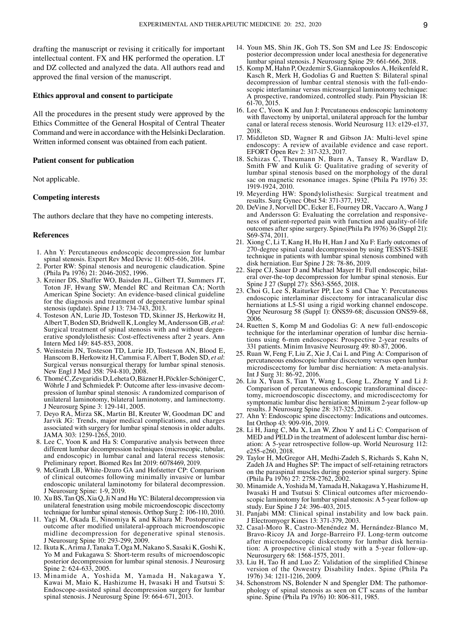drafting the manuscript or revising it critically for important intellectual content. FX and HK performed the operation. LT and DZ collected and analyzed the data. All authors read and approved the final version of the manuscript.

# **Ethics approval and consent to participate**

All the procedures in the present study were approved by the Ethics Committee of the General Hospital of Central Theater Command and were in accordance with the Helsinki Declaration. Written informed consent was obtained from each patient.

#### **Patient consent for publication**

Not applicable.

# **Competing interests**

The authors declare that they have no competing interests.

#### **References**

- 1. Ahn Y: Percutaneous endoscopic decompression for lumbar spinal stenosis. Expert Rev Med Devic 11: 605‑616, 2014.
- 2. Porter RW: Spinal stenosis and neurogenic claudication. Spine (Phila Pa 1976) 21: 2046‑2052, 1996.
- 3. Kreiner DS, Shaffer WO, Baisden JL, Gilbert TJ, Summers JT, Toton JF, Hwang SW, Mendel RC and Reitman CA; North American Spine Society: An evidence‑based clinical guideline for the diagnosis and treatment of degenerative lumbar spinal stenosis (update). Spine J 13: 734‑743, 2013.
- 4. Tosteson AN, Lurie JD, Tosteson TD, Skinner JS, Herkowitz H, Albert T, Boden SD, Bridwell K, Longley M, Andersson GB, *et al*: Surgical treatment of spinal stenosis with and without degenerative spondylolisthesis: Cost-effectiveness after 2 years. Ann Intern Med 149: 845‑853, 2008.
- 5. Weinstein JN, Tosteson TD, Lurie JD, Tosteson AN, Blood E, Hanscom B, Herkowitz H, Cammisa F, Albert T, Boden SD, *et al*: Surgical versus nonsurgical therapy for lumbar spinal stenosis. New Engl J Med 358: 794-810, 2008.
- 6. ThoméC, ZevgaridisD, LehetaO, BäznerH, Pöckler‑SchönigerC, Wöhrle J and Schmiedek P: Outcome after less-invasive decompression of lumbar spinal stenosis: A randomized comparison of unilateral laminotomy, bilateral laminotomy, and laminectomy. J Neurosurg Spine 3: 129‑141, 2005.
- 7. Deyo RA, Mirza SK, Martin BI, Kreuter W, Goodman DC and Jarvik JG: Trends, major medical complications, and charges associated with surgery for lumbar spinal stenosis in older adults. JAMA 303: 1259‑1265, 2010.
- 8. Lee C, Yoon K and Ha S: Comparative analysis between three different lumbar decompression techniques (microscopic, tubular, and endoscopic) in lumbar canal and lateral recess stenosis: Preliminary report. Biomed Res Int 2019: 6078469, 2019.
- 9. McGrath LB, White‑Dzuro GA and Hofstetter CP: Comparison of clinical outcomes following minimally invasive or lumbar endoscopic unilateral laminotomy for bilateral decompression. J Neurosurg Spine: 1‑9, 2019.
- 10. Xu BS, Tan  $\overline{OS}$ , Xia Q, Ji N and Hu YC: Bilateral decompression via unilateral fenestration using mobile microendoscopic discectomy technique for lumbar spinal stenosis. Orthop Surg 2: 106‑110, 2010.
- 11. Yagi M, Okada E, Ninomiya K and Kihara M: Postoperative outcome after modified unilateral‑approach microendoscopic midline decompression for degenerative spinal stenosis. J Neurosurg Spine 10: 293‑299, 2009.
- 12. Ikuta K, Arima J, Tanaka T, Oga M, Nakano S, Sasaki K, Goshi K, Yo M and Fukagawa S: Short-term results of microendoscopic posterior decompression for lumbar spinal stenosis. J Neurosurg Spine 2: 624‑633, 2005.
- 13. Minamide A, Yoshida M, Yamada H, Nakagawa Y, Kawai M, Maio K, Hashizume H, Iwasaki H and Tsutsui S: Endoscope‑assisted spinal decompression surgery for lumbar spinal stenosis. J Neurosurg Spine 19: 664‑671, 2013.
- 14. Youn MS, Shin JK, Goh TS, Son SM and Lee JS: Endoscopic posterior decompression under local anesthesia for degenerative lumbar spinal stenosis. J Neurosurg Spine 29: 661‑666, 2018.
- 15. Komp M, Hahn P, Oezdemir S, Giannakopoulos A, Heikenfeld R, Kasch R, Merk H, Godolias G and Ruetten S: Bilateral spinal decompression of lumbar central stenosis with the full-endoscopic interlaminar versus microsurgical laminotomy technique: A prospective, randomized, controlled study. Pain Physician 18: 61‑70, 2015.
- 16. Lee C, Yoon K and Jun J: Percutaneous endoscopic laminotomy with flavectomy by uniportal, unilateral approach for the lumbar canal or lateral recess stenosis. World Neurosurg 113: e129‑e137, 2018.
- 17. Middleton SD, Wagner R and Gibson JA: Multi‑level spine endoscopy: A review of available evidence and case report. EFORT Open Rev 2: 317‑323, 2017.
- 18. Schizas C, Theumann N, Burn A, Tansey R, Wardlaw D, Smith FW and Kulik G: Qualitative grading of severity of lumbar spinal stenosis based on the morphology of the dural sac on magnetic resonance images. Spine (Phila Pa 1976) 35: 1919‑1924, 2010.
- 19. Meyerding HW: Spondylolisthesis: Surgical treatment and results. Surg Gynec Obst 54: 371‑377, 1932.
- 20. DeVine J, Norvell DC, Ecker E, Fourney DR, Vaccaro A, Wang J ness of patient-reported pain with function and quality-of-life outcomes after spine surgery. Spine(Phila Pa 1976) 36 (Suppl 21): S69‑S74, 2011.
- 21. Xiong C, Li T, Kang H, Hu H, Han J and Xu F: Early outcomes of 270‑degree spinal canal decompression by using TESSYS‑ISEE technique in patients with lumbar spinal stenosis combined with disk herniation. Eur Spine J 28: 78-86, 2019.<br>22. Siepe CJ, Sauer D and Michael Mayer H: Full endoscopic, bilat-
- eral over-the-top decompression for lumbar spinal stenosis. Eur Spine J 27 (Suppl 27): S563-S565, 2018.
- 23. Choi G, Lee S, Raiturker PP, Lee S and Chae Y: Percutaneous endoscopic interlaminar discectomy for intracanalicular disc herniations at L5-S1 using a rigid working channel endoscope. Oper Neurosurg 58 (Suppl 1): ONS59‑68; discussion ONS59‑68, 2006.
- 24. Ruetten S, Komp M and Godolias G: A new full-endoscopic technique for the interlaminar operation of lumbar disc herniations using 6‐mm endoscopes: Prospective 2‐year results of 331 patients. Minim Invasive Neurosurg 49: 80‑87, 2006.
- 25. Ruan W, Feng F, Liu Z, Xie J, Cai L and Ping A: Comparison of percutaneous endoscopic lumbar discectomy versus open lumbar microdiscectomy for lumbar disc herniation: A meta-analysis. Int J Surg 31: 86‑92, 2016.
- 26. Liu X, Yuan S, Tian Y, Wang L, Gong L, Zheng Y and Li J: tomy, microendoscopic discectomy, and microdiscectomy for symptomatic lumbar disc herniation: Minimum 2‑year follow‑up results. J Neurosurg Spine 28: 317‑325, 2018.
- 27. Ahn Y: Endoscopic spine discectomy: Indications and outcomes. Int Orthop 43: 909‑916, 2019.
- 28. Li H, Jiang C, Mu X, Lan W, Zhou Y and Li C: Comparison of MED and PELD in the treatment of adolescent lumbar disc herniation: A 5-year retrospective follow-up. World Neurosurg 112: e255‑e260, 2018.
- 29. Taylor H, McGregor AH, Medhi‑Zadeh S, Richards S, Kahn N, Zadeh JA and Hughes SP: The impact of self‑retaining retractors on the paraspinal muscles during posterior spinal surgery. Spine (Phila Pa 1976) 27: 2758‑2762, 2002.
- 30. Minamide A, Yoshida M, Yamada H, Nakagawa Y, Hashizume H, scopic laminotomy for lumbar spinal stenosis: A 5‑year follow‑up study. Eur Spine J 24: 396‑403, 2015.
- 31. Panjabi MM: Clinical spinal instability and low back pain. J Electromyogr Kines 13: 371‑379, 2003.
- 32. Casal‑Moro R, Castro‑Menéndez M, Hernández‑Blanco M, Bravo-Ricoy JA and Jorge-Barreiro FJ. Long-term outcome after microendoscopic diskectomy for lumbar disk herniation: A prospective clinical study with a 5-year follow-up. Neurosurgery 68: 1568‑1575, 2011.
- 33. Liu H, Tao H and Luo Z: Validation of the simplified Chinese version of the Oswestry Disability Index. Spine (Phila Pa 1976) 34: 1211‑1216, 2009.
- 34. Schonstrom NS, Bolender N and Spengler DM: The pathomor‑ phology of spinal stenosis as seen on CT scans of the lumbar spine. Spine (Phila Pa 1976) 10: 806‑811, 1985.